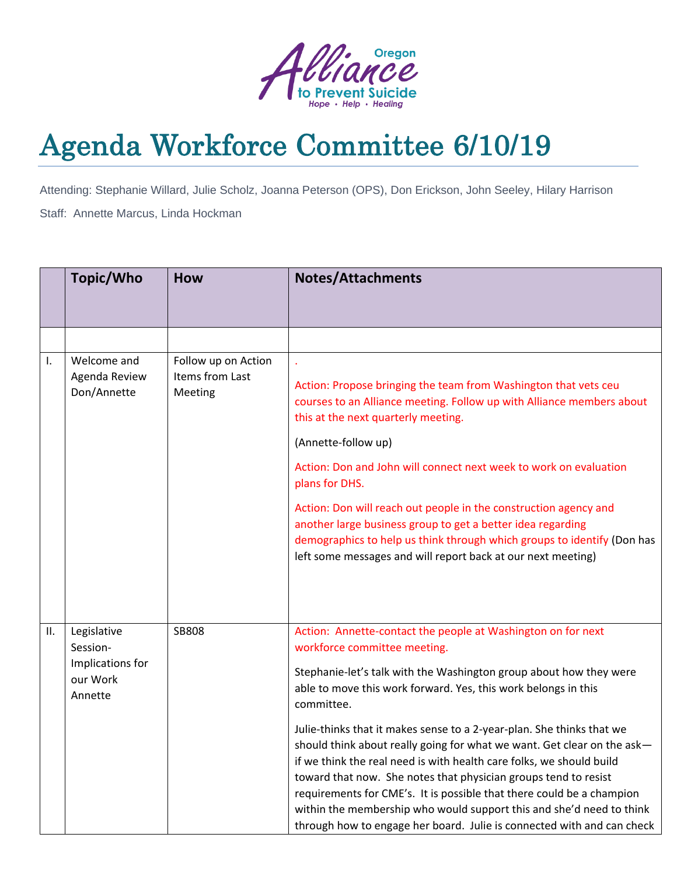

## Agenda Workforce Committee 6/10/19

Attending: Stephanie Willard, Julie Scholz, Joanna Peterson (OPS), Don Erickson, John Seeley, Hilary Harrison Staff: Annette Marcus, Linda Hockman

|    | Topic/Who                                                          | <b>How</b>                                        | <b>Notes/Attachments</b>                                                                                                                                                                                                                                                                                                                                                                                                                                                                                                                                                                                                                                                                                                                                                     |  |  |
|----|--------------------------------------------------------------------|---------------------------------------------------|------------------------------------------------------------------------------------------------------------------------------------------------------------------------------------------------------------------------------------------------------------------------------------------------------------------------------------------------------------------------------------------------------------------------------------------------------------------------------------------------------------------------------------------------------------------------------------------------------------------------------------------------------------------------------------------------------------------------------------------------------------------------------|--|--|
|    |                                                                    |                                                   |                                                                                                                                                                                                                                                                                                                                                                                                                                                                                                                                                                                                                                                                                                                                                                              |  |  |
|    |                                                                    |                                                   |                                                                                                                                                                                                                                                                                                                                                                                                                                                                                                                                                                                                                                                                                                                                                                              |  |  |
| I. | Welcome and<br>Agenda Review<br>Don/Annette                        | Follow up on Action<br>Items from Last<br>Meeting | Action: Propose bringing the team from Washington that vets ceu<br>courses to an Alliance meeting. Follow up with Alliance members about<br>this at the next quarterly meeting.<br>(Annette-follow up)<br>Action: Don and John will connect next week to work on evaluation<br>plans for DHS.<br>Action: Don will reach out people in the construction agency and<br>another large business group to get a better idea regarding<br>demographics to help us think through which groups to identify (Don has<br>left some messages and will report back at our next meeting)                                                                                                                                                                                                  |  |  |
| Ⅱ. | Legislative<br>Session-<br>Implications for<br>our Work<br>Annette | <b>SB808</b>                                      | Action: Annette-contact the people at Washington on for next<br>workforce committee meeting.<br>Stephanie-let's talk with the Washington group about how they were<br>able to move this work forward. Yes, this work belongs in this<br>committee.<br>Julie-thinks that it makes sense to a 2-year-plan. She thinks that we<br>should think about really going for what we want. Get clear on the ask-<br>if we think the real need is with health care folks, we should build<br>toward that now. She notes that physician groups tend to resist<br>requirements for CME's. It is possible that there could be a champion<br>within the membership who would support this and she'd need to think<br>through how to engage her board. Julie is connected with and can check |  |  |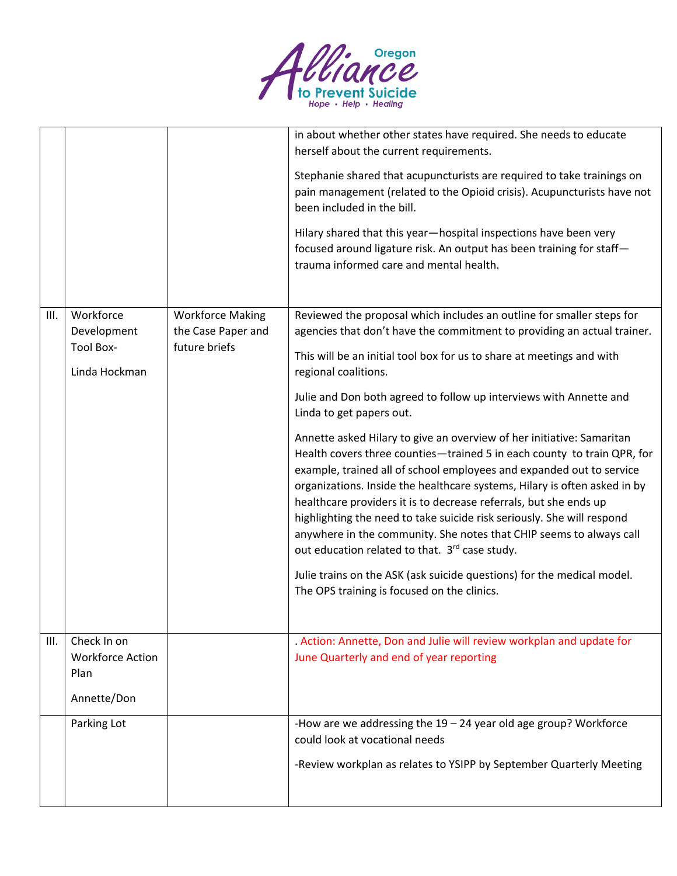

|      |                                                               |                                                                | in about whether other states have required. She needs to educate<br>herself about the current requirements.<br>Stephanie shared that acupuncturists are required to take trainings on<br>pain management (related to the Opioid crisis). Acupuncturists have not<br>been included in the bill.<br>Hilary shared that this year-hospital inspections have been very<br>focused around ligature risk. An output has been training for staff-<br>trauma informed care and mental health.                                                                                                                                                                                                                                                                                                                                                                                                                                                                                                                                                                        |
|------|---------------------------------------------------------------|----------------------------------------------------------------|---------------------------------------------------------------------------------------------------------------------------------------------------------------------------------------------------------------------------------------------------------------------------------------------------------------------------------------------------------------------------------------------------------------------------------------------------------------------------------------------------------------------------------------------------------------------------------------------------------------------------------------------------------------------------------------------------------------------------------------------------------------------------------------------------------------------------------------------------------------------------------------------------------------------------------------------------------------------------------------------------------------------------------------------------------------|
| III. | Workforce<br>Development<br><b>Tool Box-</b><br>Linda Hockman | <b>Workforce Making</b><br>the Case Paper and<br>future briefs | Reviewed the proposal which includes an outline for smaller steps for<br>agencies that don't have the commitment to providing an actual trainer.<br>This will be an initial tool box for us to share at meetings and with<br>regional coalitions.<br>Julie and Don both agreed to follow up interviews with Annette and<br>Linda to get papers out.<br>Annette asked Hilary to give an overview of her initiative: Samaritan<br>Health covers three counties-trained 5 in each county to train QPR, for<br>example, trained all of school employees and expanded out to service<br>organizations. Inside the healthcare systems, Hilary is often asked in by<br>healthcare providers it is to decrease referrals, but she ends up<br>highlighting the need to take suicide risk seriously. She will respond<br>anywhere in the community. She notes that CHIP seems to always call<br>out education related to that. 3rd case study.<br>Julie trains on the ASK (ask suicide questions) for the medical model.<br>The OPS training is focused on the clinics. |
| III. | Check In on<br><b>Workforce Action</b><br>Plan<br>Annette/Don |                                                                | . Action: Annette, Don and Julie will review workplan and update for<br>June Quarterly and end of year reporting                                                                                                                                                                                                                                                                                                                                                                                                                                                                                                                                                                                                                                                                                                                                                                                                                                                                                                                                              |
|      | Parking Lot                                                   |                                                                | -How are we addressing the $19 - 24$ year old age group? Workforce<br>could look at vocational needs<br>-Review workplan as relates to YSIPP by September Quarterly Meeting                                                                                                                                                                                                                                                                                                                                                                                                                                                                                                                                                                                                                                                                                                                                                                                                                                                                                   |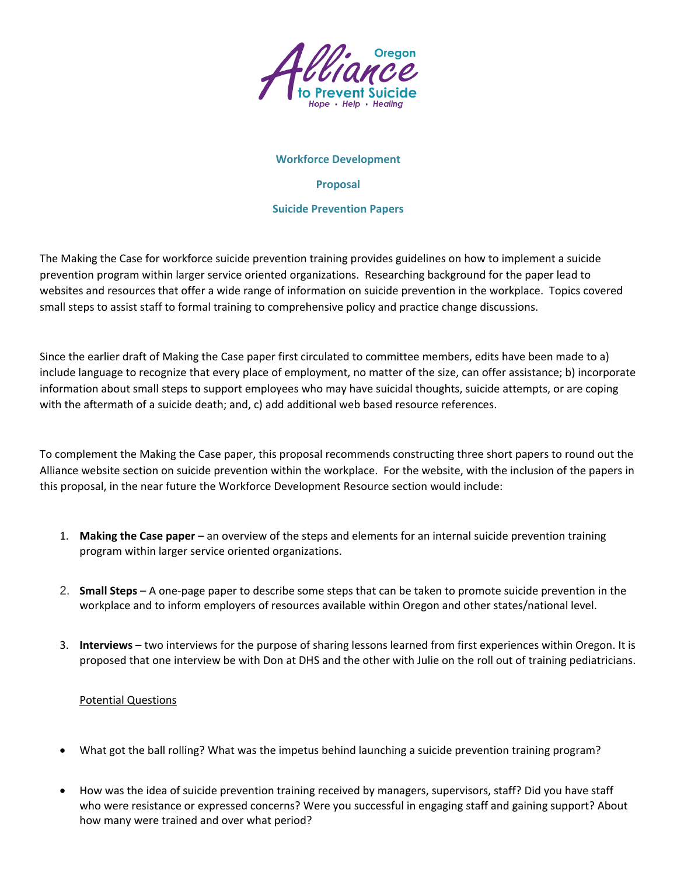

## **Workforce Development**

**Proposal**

## **Suicide Prevention Papers**

The Making the Case for workforce suicide prevention training provides guidelines on how to implement a suicide prevention program within larger service oriented organizations. Researching background for the paper lead to websites and resources that offer a wide range of information on suicide prevention in the workplace. Topics covered small steps to assist staff to formal training to comprehensive policy and practice change discussions.

Since the earlier draft of Making the Case paper first circulated to committee members, edits have been made to a) include language to recognize that every place of employment, no matter of the size, can offer assistance; b) incorporate information about small steps to support employees who may have suicidal thoughts, suicide attempts, or are coping with the aftermath of a suicide death; and, c) add additional web based resource references.

To complement the Making the Case paper, this proposal recommends constructing three short papers to round out the Alliance website section on suicide prevention within the workplace. For the website, with the inclusion of the papers in this proposal, in the near future the Workforce Development Resource section would include:

- 1. **Making the Case paper** an overview of the steps and elements for an internal suicide prevention training program within larger service oriented organizations.
- 2. **Small Steps** A one-page paper to describe some steps that can be taken to promote suicide prevention in the workplace and to inform employers of resources available within Oregon and other states/national level.
- 3. **Interviews** two interviews for the purpose of sharing lessons learned from first experiences within Oregon. It is proposed that one interview be with Don at DHS and the other with Julie on the roll out of training pediatricians.

## Potential Questions

- What got the ball rolling? What was the impetus behind launching a suicide prevention training program?
- How was the idea of suicide prevention training received by managers, supervisors, staff? Did you have staff who were resistance or expressed concerns? Were you successful in engaging staff and gaining support? About how many were trained and over what period?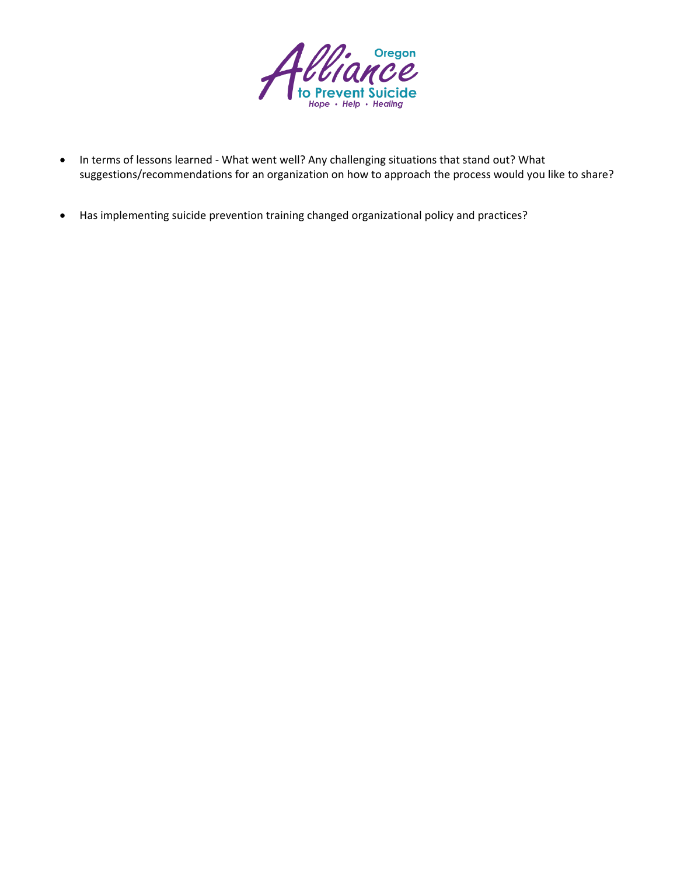

- In terms of lessons learned What went well? Any challenging situations that stand out? What suggestions/recommendations for an organization on how to approach the process would you like to share?
- Has implementing suicide prevention training changed organizational policy and practices?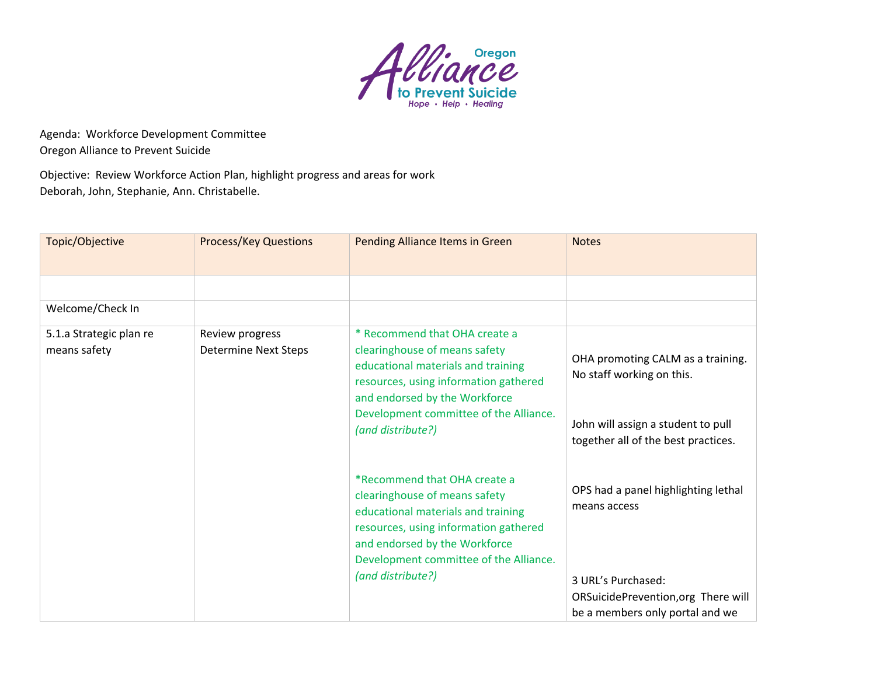

Agenda: Workforce Development Committee Oregon Alliance to Prevent Suicide

Objective: Review Workforce Action Plan, highlight progress and areas for work Deborah, John, Stephanie, Ann. Christabelle.

| <b>Process/Key Questions</b>                   | Pending Alliance Items in Green                                                                                                                                                                                                               | <b>Notes</b>                                                                                                                                        |
|------------------------------------------------|-----------------------------------------------------------------------------------------------------------------------------------------------------------------------------------------------------------------------------------------------|-----------------------------------------------------------------------------------------------------------------------------------------------------|
|                                                |                                                                                                                                                                                                                                               |                                                                                                                                                     |
|                                                |                                                                                                                                                                                                                                               |                                                                                                                                                     |
|                                                |                                                                                                                                                                                                                                               |                                                                                                                                                     |
| Review progress<br><b>Determine Next Steps</b> | * Recommend that OHA create a<br>clearinghouse of means safety<br>educational materials and training<br>resources, using information gathered<br>and endorsed by the Workforce<br>Development committee of the Alliance.<br>(and distribute?) | OHA promoting CALM as a training.<br>No staff working on this.<br>John will assign a student to pull<br>together all of the best practices.         |
|                                                | *Recommend that OHA create a<br>clearinghouse of means safety<br>educational materials and training<br>resources, using information gathered<br>and endorsed by the Workforce<br>Development committee of the Alliance.<br>(and distribute?)  | OPS had a panel highlighting lethal<br>means access<br>3 URL's Purchased:<br>ORSuicidePrevention, org There will<br>be a members only portal and we |
|                                                |                                                                                                                                                                                                                                               |                                                                                                                                                     |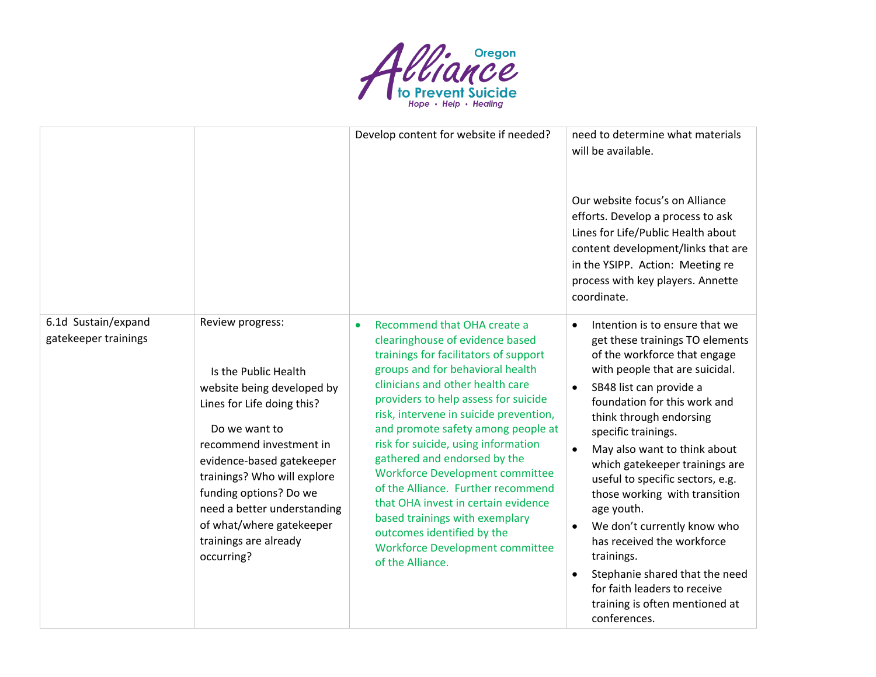

|                                             |                                                                                                                                                                                                                                                                                                                                          | Develop content for website if needed?                                                                                                                                                                                                                                                                                                                                                                                                                                                                                                                                                                                              | need to determine what materials<br>will be available.<br>Our website focus's on Alliance<br>efforts. Develop a process to ask<br>Lines for Life/Public Health about<br>content development/links that are<br>in the YSIPP. Action: Meeting re<br>process with key players. Annette<br>coordinate.                                                                                                                                                                                                                                                                                                                             |
|---------------------------------------------|------------------------------------------------------------------------------------------------------------------------------------------------------------------------------------------------------------------------------------------------------------------------------------------------------------------------------------------|-------------------------------------------------------------------------------------------------------------------------------------------------------------------------------------------------------------------------------------------------------------------------------------------------------------------------------------------------------------------------------------------------------------------------------------------------------------------------------------------------------------------------------------------------------------------------------------------------------------------------------------|--------------------------------------------------------------------------------------------------------------------------------------------------------------------------------------------------------------------------------------------------------------------------------------------------------------------------------------------------------------------------------------------------------------------------------------------------------------------------------------------------------------------------------------------------------------------------------------------------------------------------------|
| 6.1d Sustain/expand<br>gatekeeper trainings | Review progress:<br>Is the Public Health<br>website being developed by<br>Lines for Life doing this?<br>Do we want to<br>recommend investment in<br>evidence-based gatekeeper<br>trainings? Who will explore<br>funding options? Do we<br>need a better understanding<br>of what/where gatekeeper<br>trainings are already<br>occurring? | Recommend that OHA create a<br>clearinghouse of evidence based<br>trainings for facilitators of support<br>groups and for behavioral health<br>clinicians and other health care<br>providers to help assess for suicide<br>risk, intervene in suicide prevention,<br>and promote safety among people at<br>risk for suicide, using information<br>gathered and endorsed by the<br><b>Workforce Development committee</b><br>of the Alliance. Further recommend<br>that OHA invest in certain evidence<br>based trainings with exemplary<br>outcomes identified by the<br><b>Workforce Development committee</b><br>of the Alliance. | Intention is to ensure that we<br>get these trainings TO elements<br>of the workforce that engage<br>with people that are suicidal.<br>SB48 list can provide a<br>foundation for this work and<br>think through endorsing<br>specific trainings.<br>May also want to think about<br>which gatekeeper trainings are<br>useful to specific sectors, e.g.<br>those working with transition<br>age youth.<br>We don't currently know who<br>$\bullet$<br>has received the workforce<br>trainings.<br>Stephanie shared that the need<br>$\bullet$<br>for faith leaders to receive<br>training is often mentioned at<br>conferences. |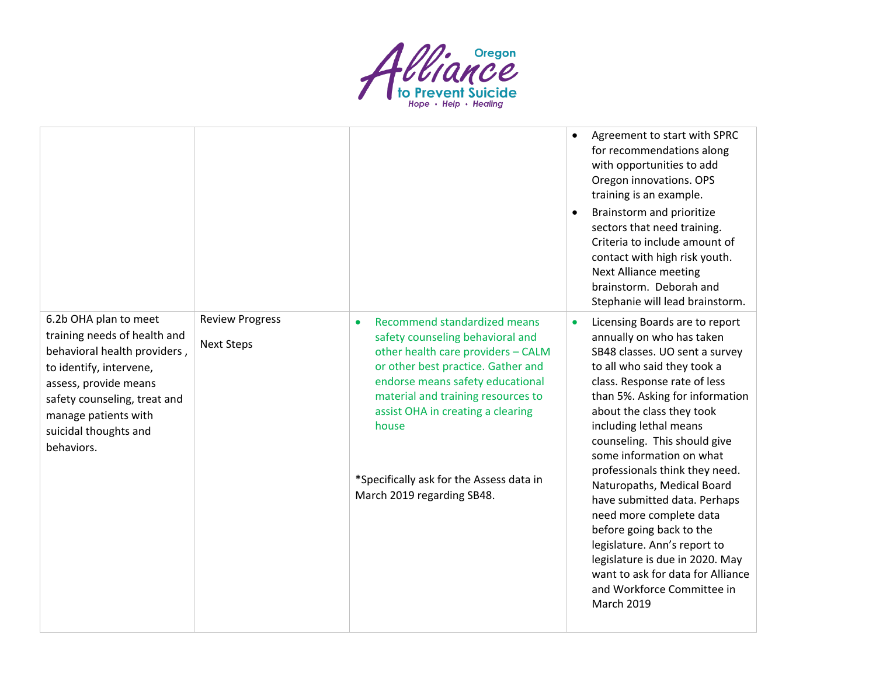

|                                                                                                                                                                                                                                          |                                             |                                                                                                                                                                                                                                                                                                                                                | Agreement to start with SPRC<br>for recommendations along<br>with opportunities to add<br>Oregon innovations. OPS<br>training is an example.<br>Brainstorm and prioritize<br>sectors that need training.<br>Criteria to include amount of<br>contact with high risk youth.<br><b>Next Alliance meeting</b><br>brainstorm. Deborah and                                                                                                                                                                                                                                                                                                                                   |
|------------------------------------------------------------------------------------------------------------------------------------------------------------------------------------------------------------------------------------------|---------------------------------------------|------------------------------------------------------------------------------------------------------------------------------------------------------------------------------------------------------------------------------------------------------------------------------------------------------------------------------------------------|-------------------------------------------------------------------------------------------------------------------------------------------------------------------------------------------------------------------------------------------------------------------------------------------------------------------------------------------------------------------------------------------------------------------------------------------------------------------------------------------------------------------------------------------------------------------------------------------------------------------------------------------------------------------------|
| 6.2b OHA plan to meet<br>training needs of health and<br>behavioral health providers,<br>to identify, intervene,<br>assess, provide means<br>safety counseling, treat and<br>manage patients with<br>suicidal thoughts and<br>behaviors. | <b>Review Progress</b><br><b>Next Steps</b> | Recommend standardized means<br>safety counseling behavioral and<br>other health care providers - CALM<br>or other best practice. Gather and<br>endorse means safety educational<br>material and training resources to<br>assist OHA in creating a clearing<br>house<br>*Specifically ask for the Assess data in<br>March 2019 regarding SB48. | Stephanie will lead brainstorm.<br>Licensing Boards are to report<br>annually on who has taken<br>SB48 classes. UO sent a survey<br>to all who said they took a<br>class. Response rate of less<br>than 5%. Asking for information<br>about the class they took<br>including lethal means<br>counseling. This should give<br>some information on what<br>professionals think they need.<br>Naturopaths, Medical Board<br>have submitted data. Perhaps<br>need more complete data<br>before going back to the<br>legislature. Ann's report to<br>legislature is due in 2020. May<br>want to ask for data for Alliance<br>and Workforce Committee in<br><b>March 2019</b> |